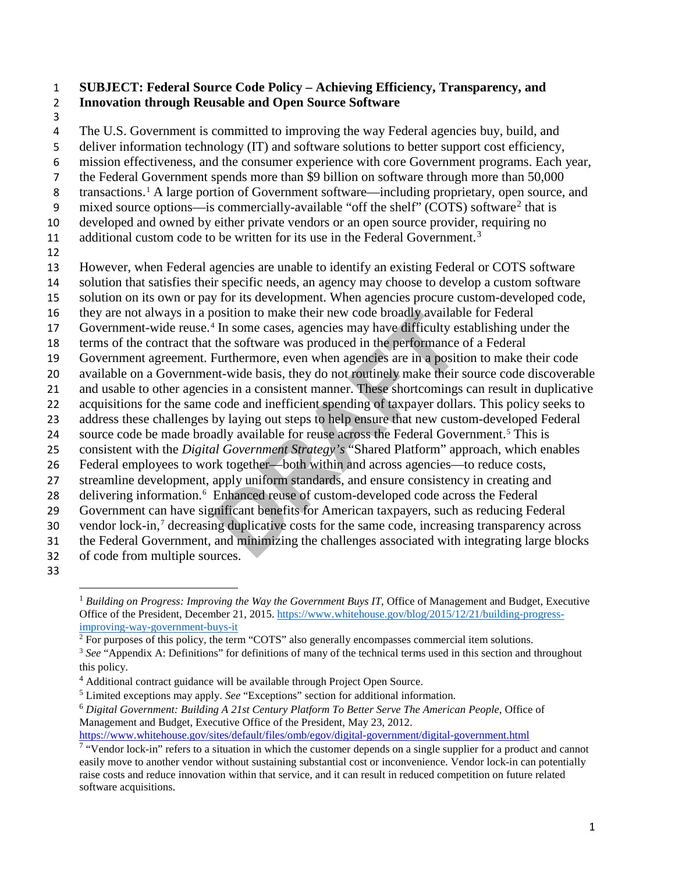#### 1 **SUBJECT: Federal Source Code Policy – Achieving Efficiency, Transparency, and**  2 **Innovation through Reusable and Open Source Software**

3

ion to make their new code broadly available f<br><sup>1</sup> In some cases, agencies may have difficulty estab<br>the software was produced in the performance of a<br>Furthermore, even when agencies are in a position<br>nt-wide basis, they d The U.S. Government is committed to improving the way Federal agencies buy, build, and deliver information technology (IT) and software solutions to better support cost efficiency, mission effectiveness, and the consumer experience with core Government programs. Each year, the Federal Government spends more than \$9 billion on software through more than 50,000 8 transactions.<sup>[1](#page-0-0)</sup> A large portion of Government software—including proprietary, open source, and 9 mixed source options—is commercially-available "off the shelf" (COTS) software<sup>[2](#page-0-1)</sup> that is developed and owned by either private vendors or an open source provider, requiring no 11 additional custom code to be written for its use in the Federal Government.<sup>[3](#page-0-2)</sup> 12 However, when Federal agencies are unable to identify an existing Federal or COTS software solution that satisfies their specific needs, an agency may choose to develop a custom software solution on its own or pay for its development. When agencies procure custom-developed code, they are not always in a position to make their new code broadly available for Federal 17 Government-wide reuse.<sup>[4](#page-0-3)</sup> In some cases, agencies may have difficulty establishing under the terms of the contract that the software was produced in the performance of a Federal Government agreement. Furthermore, even when agencies are in a position to make their code available on a Government-wide basis, they do not routinely make their source code discoverable and usable to other agencies in a consistent manner. These shortcomings can result in duplicative 22 acquisitions for the same code and inefficient spending of taxpayer dollars. This policy seeks to address these challenges by laying out steps to help ensure that new custom-developed Federal 24 source code be made broadly available for reuse across the Federal Government.<sup>[5](#page-0-4)</sup> This is consistent with the *Digital Government Strategy's* "Shared Platform" approach, which enables Federal employees to work together—both within and across agencies—to reduce costs, streamline development, apply uniform standards, and ensure consistency in creating and 28 delivering information.<sup>[6](#page-0-5)</sup> Enhanced reuse of custom-developed code across the Federal Government can have significant benefits for American taxpayers, such as reducing Federal 30 vendor lock-in,<sup>[7](#page-0-6)</sup> decreasing duplicative costs for the same code, increasing transparency across the Federal Government, and minimizing the challenges associated with integrating large blocks of code from multiple sources. 33

<span id="page-0-0"></span>

<https://www.whitehouse.gov/sites/default/files/omb/egov/digital-government/digital-government.html>

 $\overline{a}$ <sup>1</sup> *Building on Progress: Improving the Way the Government Buys IT*, Office of Management and Budget, Executive Office of the President, December 21, 2015[. https://www.whitehouse.gov/blog/2015/12/21/building-progress](https://www.whitehouse.gov/blog/2015/12/21/building-progress-improving-way-government-buys-it)[improving-way-government-buys-it](https://www.whitehouse.gov/blog/2015/12/21/building-progress-improving-way-government-buys-it)

<span id="page-0-1"></span><sup>&</sup>lt;sup>2</sup> For purposes of this policy, the term "COTS" also generally encompasses commercial item solutions.

<span id="page-0-2"></span><sup>&</sup>lt;sup>3</sup> See "Appendix A: Definitions" for definitions of many of the technical terms used in this section and throughout this policy.

<span id="page-0-3"></span><sup>&</sup>lt;sup>4</sup> Additional contract guidance will be available through Project Open Source.

<span id="page-0-4"></span><sup>5</sup> Limited exceptions may apply. *See* "Exceptions" section for additional information.

<span id="page-0-5"></span><sup>6</sup> *Digital Government: Building A 21st Century Platform To Better Serve The American People*, Office of Management and Budget, Executive Office of the President, May 23, 2012.

<span id="page-0-6"></span><sup>&</sup>lt;sup>7</sup> "Vendor lock-in" refers to a situation in which the customer depends on a single supplier for a product and cannot easily move to another vendor without sustaining substantial cost or inconvenience. Vendor lock-in can potentially raise costs and reduce innovation within that service, and it can result in reduced competition on future related software acquisitions.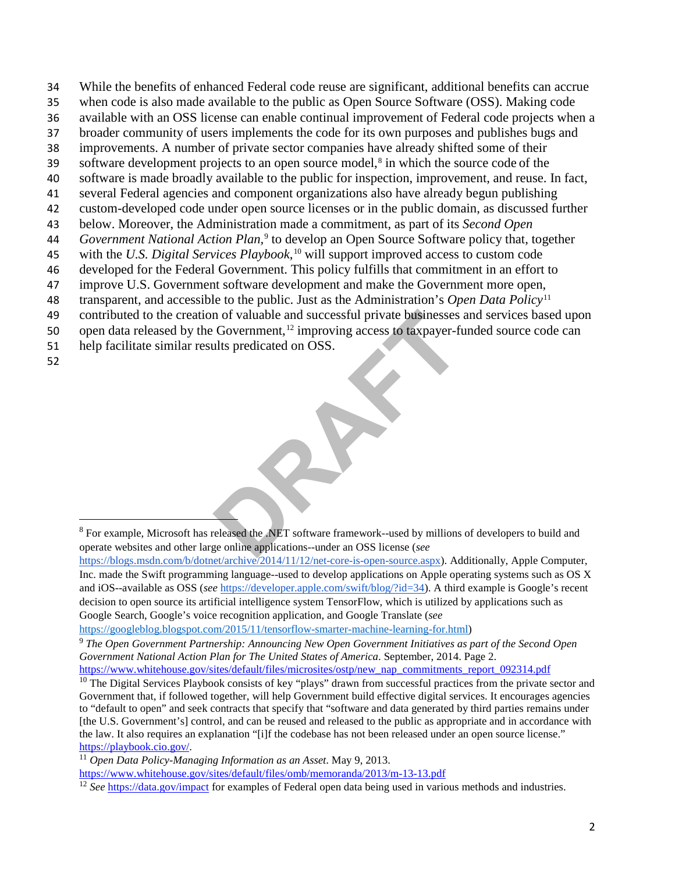- 34 While the benefits of enhanced Federal code reuse are significant, additional benefits can accrue
- 35 when code is also made available to the public as Open Source Software (OSS). Making code
- 36 available with an OSS license can enable continual improvement of Federal code projects when a
- 37 broader community of users implements the code for its own purposes and publishes bugs and
- 38 improvements. A number of private sector companies have already shifted some of their
- $39$  software development projects to an open source model,<sup>[8](#page-1-0)</sup> in which the source code of the 40 software is made broadly available to the public for inspection, improvement, and reuse. In fact,
- 41 several Federal agencies and component organizations also have already begun publishing
- 42 custom-developed code under open source licenses or in the public domain, as discussed further
- 43 below. Moreover, the Administration made a commitment, as part of its *Second Open*
- 44 *Government National Action Plan*,<sup>[9](#page-1-1)</sup> to develop an Open Source Software policy that, together
- with the *U.S. Digital Services Playbook*, [10](#page-1-2) 45 will support improved access to custom code
- 46 developed for the Federal Government. This policy fulfills that commitment in an effort to
- 47 improve U.S. Government software development and make the Government more open,
- transparent, and accessible to the public. Just as the Administration's *Open Data Policy*[11](#page-1-3) 48
- 49 contributed to the creation of valuable and successful private businesses and services based upon
- 50 open data released by the Government,  $12$  improving access to taxpayer-funded source code can
- 51 help facilitate similar results predicated on OSS.
- 52

In of valuable and successful private businesses and<br>
Government,<sup>12</sup> improving access to taxpayer-fund<br>
lilts predicated on OSS.<br>
See the NET software framework--used by millions of c<br>
ge online applications--under an OSS <sup>8</sup> For example, Microsoft has released the .NET software framework--used by millions of developers to build and operate websites and other large online applications--under an OSS license (*see*

<span id="page-1-0"></span>[https://blogs.msdn.com/b/dotnet/archive/2014/11/12/net-core-is-open-source.aspx\)](http://blogs.msdn.com/b/dotnet/archive/2014/11/12/net-core-is-open-source.aspx). Additionally, Apple Computer, Inc. made the Swift programming language--used to develop applications on Apple operating systems such as OS X and iOS--available as OSS (*see* [https://developer.apple.com/swift/blog/?id=34\)](https://developer.apple.com/swift/blog/?id=34). A third example is Google's recent decision to open source its artificial intelligence system TensorFlow, which is utilized by applications such as Google Search, Google's voice recognition application, and Google Translate (*see*

[https://googleblog.blogspot.com/2015/11/tensorflow-smarter-machine-learning-for.html\)](https://googleblog.blogspot.com/2015/11/tensorflow-smarter-machine-learning-for.html)

<span id="page-1-1"></span><sup>9</sup> *The Open Government Partnership: Announcing New Open Government Initiatives as part of the Second Open Government National Action Plan for The United States of America*. September, 2014. Page 2.

[https://www.whitehouse.gov/sites/default/files/microsites/ostp/new\\_nap\\_commitments\\_report\\_092314.pdf](https://www.whitehouse.gov/sites/default/files/microsites/ostp/new_nap_commitments_report_092314.pdf)

<span id="page-1-2"></span> $10$  The Digital Services Playbook consists of key "plays" drawn from successful practices from the private sector and Government that, if followed together, will help Government build effective digital services. It encourages agencies to "default to open" and seek contracts that specify that "software and data generated by third parties remains under [the U.S. Government's] control, and can be reused and released to the public as appropriate and in accordance with the law. It also requires an explanation "[i]f the codebase has not been released under an open source license." [https://playbook.cio.gov/.](https://playbook.cio.gov/)

<sup>11</sup> *Open Data Policy-Managing Information as an Asset*. May 9, 2013.

<span id="page-1-4"></span><span id="page-1-3"></span><https://www.whitehouse.gov/sites/default/files/omb/memoranda/2013/m-13-13.pdf>

<sup>&</sup>lt;sup>12</sup> *See* <https://data.gov/impact> for examples of Federal open data being used in various methods and industries.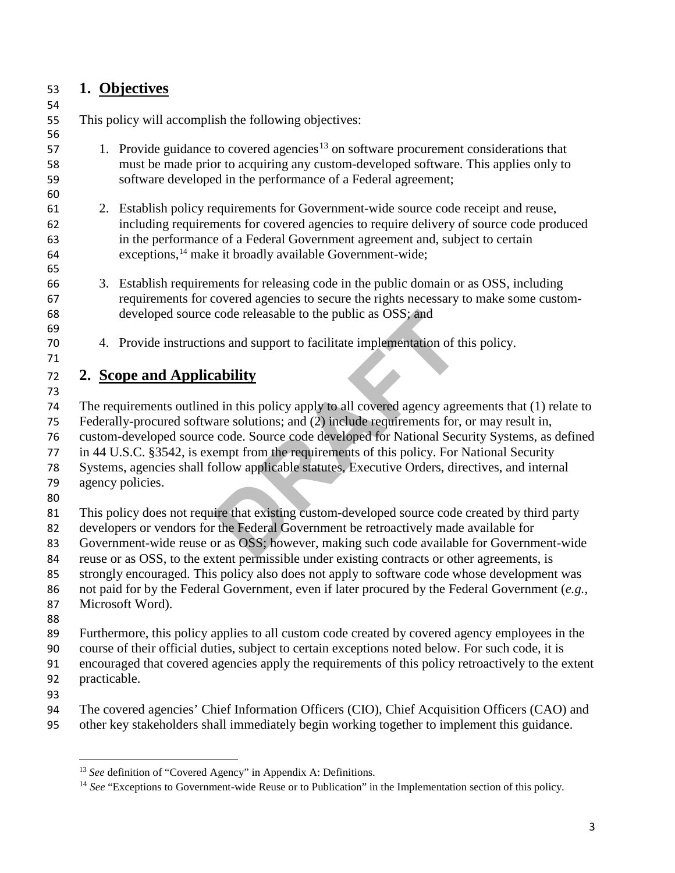## **1. Objectives**

# 

This policy will accomplish the following objectives:

- 1. Provide guidance to covered agencies<sup>[13](#page-2-0)</sup> on software procurement considerations that must be made prior to acquiring any custom-developed software. This applies only to software developed in the performance of a Federal agreement;
- 2. Establish policy requirements for Government-wide source code receipt and reuse, including requirements for covered agencies to require delivery of source code produced in the performance of a Federal Government agreement and, subject to certain 64 exceptions,<sup>[14](#page-2-1)</sup> make it broadly available Government-wide;
- 3. Establish requirements for releasing code in the public domain or as OSS, including requirements for covered agencies to secure the rights necessary to make some custom-developed source code releasable to the public as OSS; and
- 

4. Provide instructions and support to facilitate implementation of this policy.

# 

**2. Scope and Applicability**

- code releasable to the public as OSS; and<br>ms and support to facilitate implementation of this<br>**ability**<br>d in this policy apply to all covered agency agreem<br>are solutions; and (2) include requirements for, or<br>code. Source c The requirements outlined in this policy apply to all covered agency agreements that (1) relate to Federally-procured software solutions; and (2) include requirements for, or may result in, custom-developed source code. Source code developed for National Security Systems, as defined in 44 U.S.C. §3542, is exempt from the requirements of this policy. For National Security
- Systems, agencies shall follow applicable statutes, Executive Orders, directives, and internal
- agency policies.
- 

This policy does not require that existing custom-developed source code created by third party

developers or vendors for the Federal Government be retroactively made available for

Government-wide reuse or as OSS; however, making such code available for Government-wide

reuse or as OSS, to the extent permissible under existing contracts or other agreements, is

strongly encouraged. This policy also does not apply to software code whose development was

 not paid for by the Federal Government, even if later procured by the Federal Government (*e.g.*, Microsoft Word).

Furthermore, this policy applies to all custom code created by covered agency employees in the

course of their official duties, subject to certain exceptions noted below. For such code, it is

encouraged that covered agencies apply the requirements of this policy retroactively to the extent

practicable.

 $\overline{\phantom{a}}$ 

The covered agencies' Chief Information Officers (CIO), Chief Acquisition Officers (CAO) and

<span id="page-2-1"></span><span id="page-2-0"></span>other key stakeholders shall immediately begin working together to implement this guidance.

*See* definition of "Covered Agency" in Appendix A: Definitions.

<sup>&</sup>lt;sup>14</sup> See "Exceptions to Government-wide Reuse or to Publication" in the Implementation section of this policy.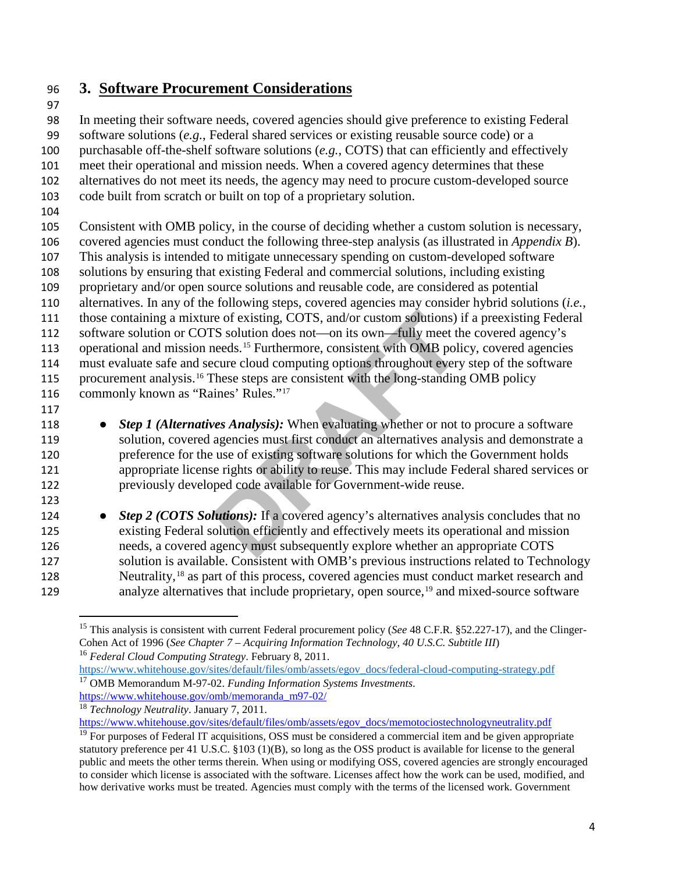## **3. Software Procurement Considerations**

 In meeting their software needs, covered agencies should give preference to existing Federal software solutions (*e.g.*, Federal shared services or existing reusable source code) or a purchasable off-the-shelf software solutions (*e.g.*, COTS) that can efficiently and effectively meet their operational and mission needs. When a covered agency determines that these alternatives do not meet its needs, the agency may need to procure custom-developed source code built from scratch or built on top of a proprietary solution. 

 Consistent with OMB policy, in the course of deciding whether a custom solution is necessary, covered agencies must conduct the following three-step analysis (as illustrated in *Appendix B*). This analysis is intended to mitigate unnecessary spending on custom-developed software solutions by ensuring that existing Federal and commercial solutions, including existing

 proprietary and/or open source solutions and reusable code, are considered as potential alternatives. In any of the following steps, covered agencies may consider hybrid solutions (*i.e.*,

those containing a mixture of existing, COTS, and/or custom solutions) if a preexisting Federal

software solution or COTS solution does not—on its own—fully meet the covered agency's

113 operational and mission needs.<sup>15</sup> Furthermore, consistent with OMB policy, covered agencies

must evaluate safe and secure cloud computing options throughout every step of the software

115 procurement analysis.<sup>[16](#page-3-1)</sup> These steps are consistent with the long-standing OMB policy 116 commonly known as "Raines' Rules."<sup>17</sup>

- 
- 

re of existing, COTS, and/or custom solutions) if a<br>
S solution does not—on its own—fully meet the c<br>
heeds.<sup>15</sup> Furthermore, consistent with OMB policy,<br>
cure cloud computing options throughout every states<br>
hese steps ar 118 • *Step 1 (Alternatives Analysis)*: When evaluating whether or not to procure a software solution, covered agencies must first conduct an alternatives analysis and demonstrate a preference for the use of existing software solutions for which the Government holds appropriate license rights or ability to reuse. This may include Federal shared services or previously developed code available for Government-wide reuse.

l

**•** *Step 2 (COTS Solutions):* If a covered agency's alternatives analysis concludes that no existing Federal solution efficiently and effectively meets its operational and mission needs, a covered agency must subsequently explore whether an appropriate COTS solution is available. Consistent with OMB's previous instructions related to Technology 128 Neutrality,<sup>[18](#page-3-3)</sup> as part of this process, covered agencies must conduct market research and analyze alternatives that include proprietary, open source,<sup>[19](#page-3-4)</sup> and mixed-source software

<span id="page-3-0"></span> This analysis is consistent with current Federal procurement policy (*See* 48 C.F.R. §52.227-17), and the Clinger-Cohen Act of 1996 (*See Chapter 7 – Acquiring Information Technology, 40 U.S.C. Subtitle III*) *Federal Cloud Computing Strategy*. February 8, 2011.

<span id="page-3-2"></span><span id="page-3-1"></span>[https://www.whitehouse.gov/sites/default/files/omb/assets/egov\\_docs/federal-cloud-computing-strategy.pdf](https://www.whitehouse.gov/sites/default/files/omb/assets/egov_docs/federal-cloud-computing-strategy.pdf) OMB Memorandum M-97-02. *Funding Information Systems Investments*.

[https://www.whitehouse.gov/omb/memoranda\\_m97-02/](https://www.whitehouse.gov/omb/memoranda_m97-02/)

<span id="page-3-3"></span><sup>&</sup>lt;sup>18</sup> *Technology Neutrality*. January 7, 2011.<br>https://www.whitehouse.gov/sites/default/files/omb/assets/egov\_docs/memotociostechnologyneutrality.pdf

<span id="page-3-4"></span> For purposes of Federal IT acquisitions, OSS must be considered a commercial item and be given appropriate statutory preference per 41 U.S.C. §103 (1)(B), so long as the OSS product is available for license to the general public and meets the other terms therein. When using or modifying OSS, covered agencies are strongly encouraged to consider which license is associated with the software. Licenses affect how the work can be used, modified, and how derivative works must be treated. Agencies must comply with the terms of the licensed work. Government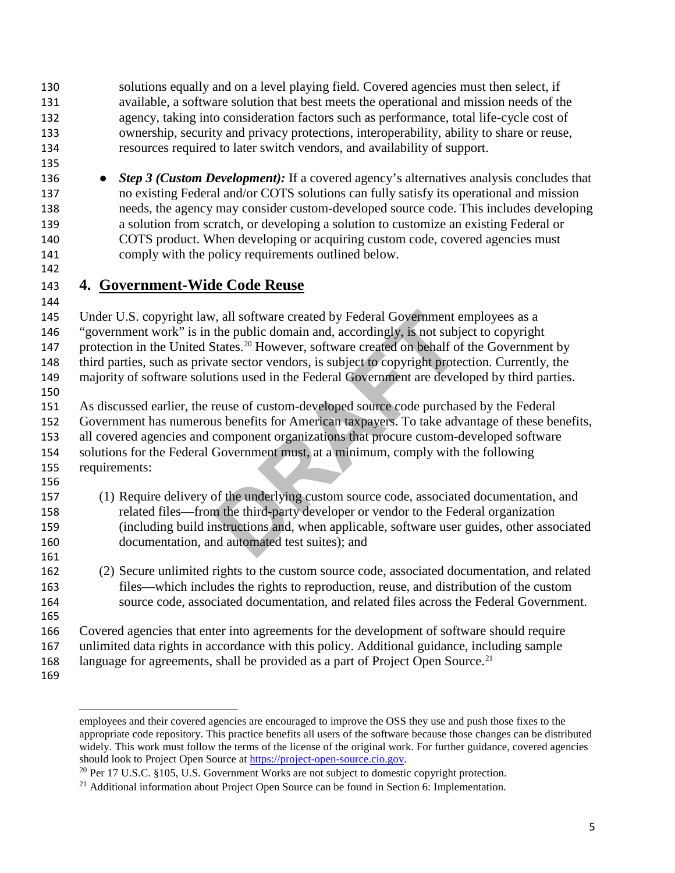solutions equally and on a level playing field. Covered agencies must then select, if available, a software solution that best meets the operational and mission needs of the agency, taking into consideration factors such as performance, total life-cycle cost of ownership, security and privacy protections, interoperability, ability to share or reuse, resources required to later switch vendors, and availability of support.

136 • *Step 3 (Custom Development):* If a covered agency's alternatives analysis concludes that no existing Federal and/or COTS solutions can fully satisfy its operational and mission needs, the agency may consider custom-developed source code. This includes developing a solution from scratch, or developing a solution to customize an existing Federal or COTS product. When developing or acquiring custom code, covered agencies must comply with the policy requirements outlined below.

# **4. Government-Wide Code Reuse**

*v*, all software created by Federal Government empthe public domain and, accordingly, is not subject states.<sup>20</sup> However, software created on behalf of thate sector vendors, is subject to copyright protectic tions used in Under U.S. copyright law, all software created by Federal Government employees as a "government work" is in the public domain and, accordingly, is not subject to copyright 147 protection in the United States.<sup>20</sup> However, software created on behalf of the Government by third parties, such as private sector vendors, is subject to copyright protection. Currently, the majority of software solutions used in the Federal Government are developed by third parties. As discussed earlier, the reuse of custom-developed source code purchased by the Federal Government has numerous benefits for American taxpayers. To take advantage of these benefits,

all covered agencies and component organizations that procure custom-developed software

 solutions for the Federal Government must, at a minimum, comply with the following requirements:

 (1) Require delivery of the underlying custom source code, associated documentation, and related files—from the third-party developer or vendor to the Federal organization (including build instructions and, when applicable, software user guides, other associated documentation, and automated test suites); and

 (2) Secure unlimited rights to the custom source code, associated documentation, and related files—which includes the rights to reproduction, reuse, and distribution of the custom source code, associated documentation, and related files across the Federal Government.

 Covered agencies that enter into agreements for the development of software should require

- unlimited data rights in accordance with this policy. Additional guidance, including sample
- 168 language for agreements, shall be provided as a part of Project Open Source.<sup>[21](#page-4-1)</sup>
- 

employees and their covered agencies are encouraged to improve the OSS they use and push those fixes to the appropriate code repository. This practice benefits all users of the software because those changes can be distributed widely. This work must follow the terms of the license of the original work. For further guidance, covered agencies should look to Project Open Source a[t https://project-open-source.cio.gov.](https://project-open-source.cio.gov/)

<span id="page-4-0"></span><sup>&</sup>lt;sup>20</sup> Per 17 U.S.C. §105, U.S. Government Works are not subject to domestic copyright protection.

<span id="page-4-1"></span>Additional information about Project Open Source can be found in Section 6: Implementation.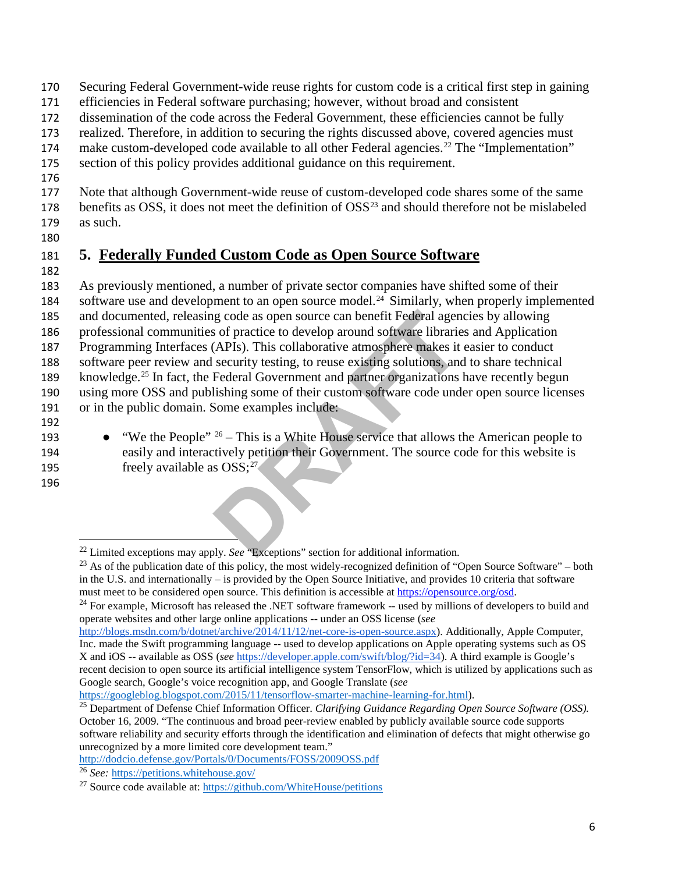- 170 Securing Federal Government-wide reuse rights for custom code is a critical first step in gaining
- 171 efficiencies in Federal software purchasing; however, without broad and consistent
- 172 dissemination of the code across the Federal Government, these efficiencies cannot be fully
- 173 realized. Therefore, in addition to securing the rights discussed above, covered agencies must
- 174 make custom-developed code available to all other Federal agencies.<sup>[22](#page-5-0)</sup> The "Implementation"
- 175 section of this policy provides additional guidance on this requirement.
- 176
- 177 Note that although Government-wide reuse of custom-developed code shares some of the same 178 benefits as OSS, it does not meet the definition of OSS<sup>[23](#page-5-1)</sup> and should therefore not be mislabeled
- 179 as such.
- 180

# 181 **5. Federally Funded Custom Code as Open Source Software**

182

g code as open source can benefit Federal agencies<br>of practice to develop around software libraries a<br>(APIs). This collaborative atmosphere makes it eas<br>security testing, to reuse existing solutions, and to<br>Federal Governm As previously mentioned, a number of private sector companies have shifted some of their 184 software use and development to an open source model.<sup>[24](#page-5-2)</sup> Similarly, when properly implemented and documented, releasing code as open source can benefit Federal agencies by allowing professional communities of practice to develop around software libraries and Application Programming Interfaces (APIs). This collaborative atmosphere makes it easier to conduct software peer review and security testing, to reuse existing solutions, and to share technical 189 knowledge.<sup>[25](#page-5-3)</sup> In fact, the Federal Government and partner organizations have recently begun using more OSS and publishing some of their custom software code under open source licenses or in the public domain. Some examples include: 192

- 193 "We the People"  $26$  This is a White House service that allows the American people to 194 easily and interactively petition their Government. The source code for this website is 195 freely available as  $OSS;^{27}$
- 196

 $\overline{\phantom{a}}$ 

[https://googleblog.blogspot.com/2015/11/tensorflow-smarter-machine-learning-for.html\)](https://googleblog.blogspot.com/2015/11/tensorflow-smarter-machine-learning-for.html).

<http://dodcio.defense.gov/Portals/0/Documents/FOSS/2009OSS.pdf>

<sup>22</sup> Limited exceptions may apply. *See* "Exceptions" section for additional information.

<span id="page-5-1"></span><span id="page-5-0"></span> $^{23}$  As of the publication date of this policy, the most widely-recognized definition of "Open Source Software" – both in the U.S. and internationally – is provided by the Open Source Initiative, and provides 10 criteria that software must meet to be considered open source. This definition is accessible at [https://opensource.org/osd.](http://opensource.org/osd)

<span id="page-5-2"></span> $24$  For example, Microsoft has released the .NET software framework  $-$  used by millions of developers to build and operate websites and other large online applications -- under an OSS license (*see*

[http://blogs.msdn.com/b/dotnet/archive/2014/11/12/net-core-is-open-source.aspx\)](http://blogs.msdn.com/b/dotnet/archive/2014/11/12/net-core-is-open-source.aspx). Additionally, Apple Computer, Inc. made the Swift programming language -- used to develop applications on Apple operating systems such as OS X and iOS -- available as OSS (*see* [https://developer.apple.com/swift/blog/?id=34\)](https://developer.apple.com/swift/blog/?id=34). A third example is Google's recent decision to open source its artificial intelligence system TensorFlow, which is utilized by applications such as Google search, Google's voice recognition app, and Google Translate (*see*

<span id="page-5-3"></span><sup>25</sup> Department of Defense Chief Information Officer. *Clarifying Guidance Regarding Open Source Software (OSS).*  October 16, 2009. "The continuous and broad peer-review enabled by publicly available source code supports software reliability and security efforts through the identification and elimination of defects that might otherwise go unrecognized by a more limited core development team."

<span id="page-5-4"></span><sup>26</sup> *See:* [https://petitions.whitehouse.gov/](http://petitions.whitehouse.gov/)

<span id="page-5-5"></span> $^{27}$  Source code available at:<https://github.com/WhiteHouse/petitions>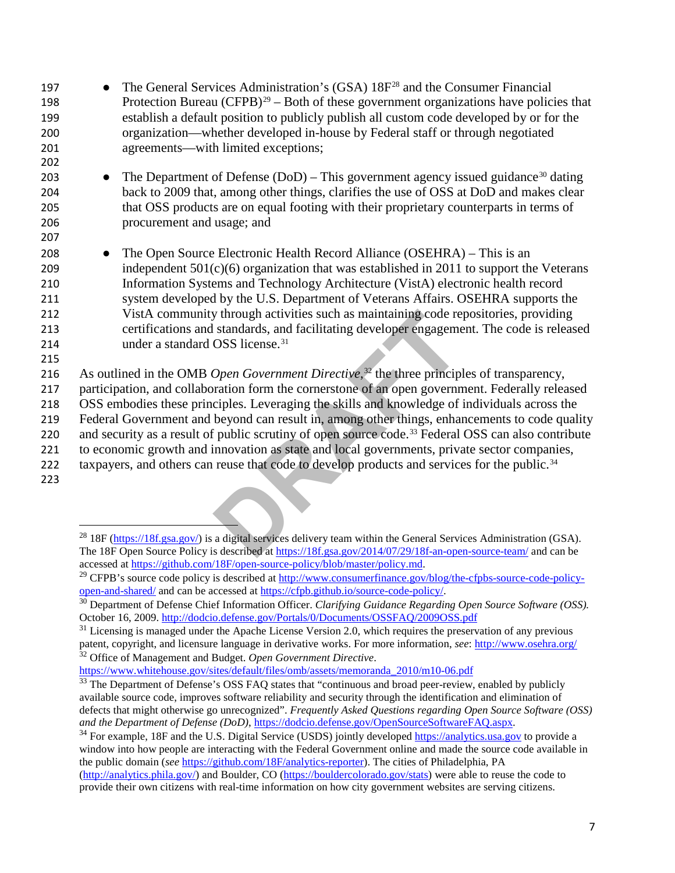| 197<br>198<br>199<br>200 | The General Services Administration's (GSA) 18F <sup>28</sup> and the Consumer Financial<br>Protection Bureau (CFPB) <sup>29</sup> – Both of these government organizations have policies that<br>establish a default position to publicly publish all custom code developed by or for the<br>organization—whether developed in-house by Federal staff or through negotiated |
|--------------------------|------------------------------------------------------------------------------------------------------------------------------------------------------------------------------------------------------------------------------------------------------------------------------------------------------------------------------------------------------------------------------|
| 201                      | agreements—with limited exceptions;                                                                                                                                                                                                                                                                                                                                          |
| 202                      |                                                                                                                                                                                                                                                                                                                                                                              |
| 203                      | The Department of Defense (DoD) – This government agency issued guidance <sup>30</sup> dating                                                                                                                                                                                                                                                                                |
| 204                      | back to 2009 that, among other things, clarifies the use of OSS at DoD and makes clear                                                                                                                                                                                                                                                                                       |
| 205                      | that OSS products are on equal footing with their proprietary counterparts in terms of                                                                                                                                                                                                                                                                                       |
| 206                      | procurement and usage; and                                                                                                                                                                                                                                                                                                                                                   |
| 207                      |                                                                                                                                                                                                                                                                                                                                                                              |
| 208                      | The Open Source Electronic Health Record Alliance (OSEHRA) – This is an                                                                                                                                                                                                                                                                                                      |
| 209                      | independent $501(c)(6)$ organization that was established in 2011 to support the Veterans                                                                                                                                                                                                                                                                                    |
| 210                      | Information Systems and Technology Architecture (VistA) electronic health record                                                                                                                                                                                                                                                                                             |
| 211                      | system developed by the U.S. Department of Veterans Affairs. OSEHRA supports the                                                                                                                                                                                                                                                                                             |
| 212                      | VistA community through activities such as maintaining code repositories, providing                                                                                                                                                                                                                                                                                          |
| 213                      | certifications and standards, and facilitating developer engagement. The code is released                                                                                                                                                                                                                                                                                    |
| 214                      | under a standard OSS license. <sup>31</sup>                                                                                                                                                                                                                                                                                                                                  |
| 215                      |                                                                                                                                                                                                                                                                                                                                                                              |
| 216                      | As outlined in the OMB Open Government Directive, <sup>32</sup> the three principles of transparency,                                                                                                                                                                                                                                                                        |
| 217                      | participation, and collaboration form the cornerstone of an open government. Federally released                                                                                                                                                                                                                                                                              |
| 218                      | OSS embodies these principles. Leveraging the skills and knowledge of individuals across the                                                                                                                                                                                                                                                                                 |
| 219                      | Federal Government and beyond can result in, among other things, enhancements to code quality                                                                                                                                                                                                                                                                                |
| 220                      | and security as a result of public scrutiny of open source code. <sup>33</sup> Federal OSS can also contribute                                                                                                                                                                                                                                                               |
| 221                      | to economic growth and innovation as state and local governments, private sector companies,                                                                                                                                                                                                                                                                                  |
| 222                      | taxpayers, and others can reuse that code to develop products and services for the public. <sup>34</sup>                                                                                                                                                                                                                                                                     |
| 223                      |                                                                                                                                                                                                                                                                                                                                                                              |
|                          |                                                                                                                                                                                                                                                                                                                                                                              |
|                          | <sup>28</sup> 18F (https://18f.gsa.gov/) is a digital services delivery team within the General Services Administration (GSA).                                                                                                                                                                                                                                               |
|                          | The 18F Open Source Policy is described at https://18f.gsa.gov/2014/07/29/18f-an-open-source-team/ and can be                                                                                                                                                                                                                                                                |

<span id="page-6-0"></span><sup>&</sup>lt;sup>28</sup> 18F [\(https://18f.gsa.gov/\)](https://18f.gsa.gov/) is a digital services delivery team within the General Services Administration (GSA). The 18F Open Source Policy is described at https://18f.gsa.gov/2014/07/29/18f-an[-open-source-team/](https://18f.gsa.gov/2014/07/29/18f-an-open-source-team/) and can be accessed at [https://github.com/18F/open-source-policy/blob/master/policy.md.](https://github.com/18F/open-source-policy/blob/master/policy.md)

<span id="page-6-1"></span><sup>&</sup>lt;sup>29</sup> CFPB's source code policy is described at <u>http://www.consumerfinance.gov/blog/the-cfpbs-source-code-policy-</u><br>open-and-shared/ and can be accessed at https://cfpb.github.io/source-code-policy/.

<span id="page-6-2"></span><sup>&</sup>lt;sup>30</sup> Dep[a](http://www.consumerfinance.gov/blog/the-cfpbs-source-code-policy-open-and-shared/)rtment of Defense Chief Information Officer. *Clarifying Guidance Regarding Open Source Software (OSS)*. October 16, 2009[. http://dodcio.defense.gov/Portals/0/Documents/OSSFAQ/2009OSS.pdf](http://dodcio.defense.gov/Portals/0/Documents/OSSFAQ/2009OSS.pdf)

<span id="page-6-3"></span><sup>&</sup>lt;sup>31</sup> Licensing is managed under the Apache License Version 2.0, which requires the preservation of any previous patent, copyright, and licensure language in derivative works. For more information, *see*:<http://www.osehra.org/> <sup>32</sup> Office of Management and Budget. *Open Government Directive*.

<span id="page-6-4"></span>[https://www.whitehouse.gov/sites/default/files/omb/assets/memoranda\\_2010/m10-06.pdf](https://www.whitehouse.gov/sites/default/files/omb/assets/memoranda_2010/m10-06.pdf)

<span id="page-6-5"></span><sup>&</sup>lt;sup>33</sup> The Department of Defense's OSS FAQ states that "continuous and broad peer-review, enabled by publicly available source code, improves software reliability and security through the identification and elimination of defects that might otherwise go unrecognized". *Frequently Asked Questions regarding Open Source Software (OSS) and the Department of Defense (DoD)*, [https://dodcio.defense.gov/OpenSourceSoftwareFAQ.aspx.](https://dodcio.defense.gov/OpenSourceSoftwareFAQ.aspx)

<span id="page-6-6"></span><sup>&</sup>lt;sup>34</sup> For example, 18F and the U.S. Digital Service (USDS) jointly developed [https://analytics.usa.gov](https://analytics.usa.gov/) to provide a window into how people are interacting with the Federal Government online and made the source code available in the public domain (*see* [https://github.com/18F/analytics-reporter\)](https://github.com/18F/analytics-reporter). The cities of Philadelphia, PA [\(http://analytics.phila.gov/\)](http://analytics.phila.gov/) and Boulder, CO [\(https://bouldercolorado.gov/stats\)](https://bouldercolorado.gov/stats) were able to reuse the code to provide their own citizens with real-time information on how city government websites are serving citizens.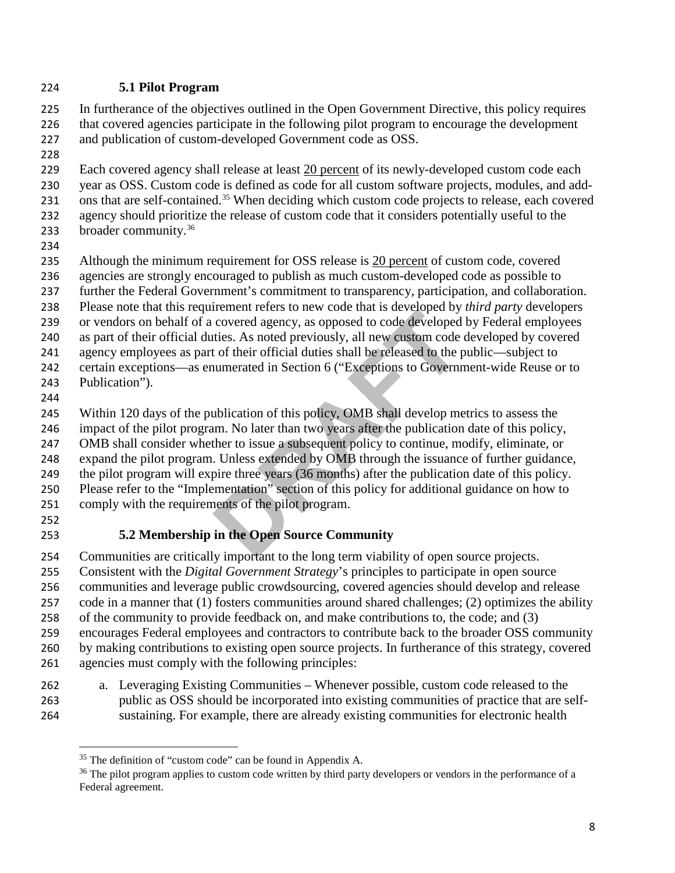#### **5.1 Pilot Program**

In furtherance of the objectives outlined in the Open Government Directive, this policy requires

- that covered agencies participate in the following pilot program to encourage the development
- and publication of custom-developed Government code as OSS.
- 

Each covered agency shall release at least 20 percent of its newly-developed custom code each

year as OSS. Custom code is defined as code for all custom software projects, modules, and add-

231 ons that are self-contained.<sup>[35](#page-7-0)</sup> When deciding which custom code projects to release, each covered

agency should prioritize the release of custom code that it considers potentially useful to the

- 233 broader community.
- 

Although the minimum requirement for OSS release is 20 percent of custom code, covered

agencies are strongly encouraged to publish as much custom-developed code as possible to

further the Federal Government's commitment to transparency, participation, and collaboration.

- Please note that this requirement refers to new code that is developed by *third party* developers
- or vendors on behalf of a covered agency, as opposed to code developed by Federal employees
- as part of their official duties. As noted previously, all new custom code developed by covered
- agency employees as part of their official duties shall be released to the public—subject to
- certain exceptions—as enumerated in Section 6 ("Exceptions to Government-wide Reuse or to Publication").
- 

245 Within 120 days of the publication of this policy, OMB shall develop metrics to assess the

impact of the pilot program. No later than two years after the publication date of this policy,

247 OMB shall consider whether to issue a subsequent policy to continue, modify, eliminate, or

- expand the pilot program. Unless extended by OMB through the issuance of further guidance,
- 249 the pilot program will expire three years (36 months) after the publication date of this policy.

remember colors to hew code that is developed by *m*<br>covered agency, as opposed to code developed by<br>ties. As noted previously, all new custom code dev<br>of their official duties shall be released to the pub<br>uumerated in Sec Please refer to the "Implementation" section of this policy for additional guidance on how to comply with the requirements of the pilot program.

l

## **5.2 Membership in the Open Source Community**

Communities are critically important to the long term viability of open source projects.

Consistent with the *Digital Government Strategy*'s principles to participate in open source

communities and leverage public crowdsourcing, covered agencies should develop and release

code in a manner that (1) fosters communities around shared challenges; (2) optimizes the ability

of the community to provide feedback on, and make contributions to, the code; and (3)

encourages Federal employees and contractors to contribute back to the broader OSS community

by making contributions to existing open source projects. In furtherance of this strategy, covered

- agencies must comply with the following principles:
- a. Leveraging Existing Communities Whenever possible, custom code released to the public as OSS should be incorporated into existing communities of practice that are self-sustaining. For example, there are already existing communities for electronic health

<span id="page-7-0"></span><sup>&</sup>lt;sup>35</sup> The definition of "custom code" can be found in Appendix A.

<span id="page-7-1"></span><sup>&</sup>lt;sup>36</sup> The pilot program applies to custom code written by third party developers or vendors in the performance of a Federal agreement.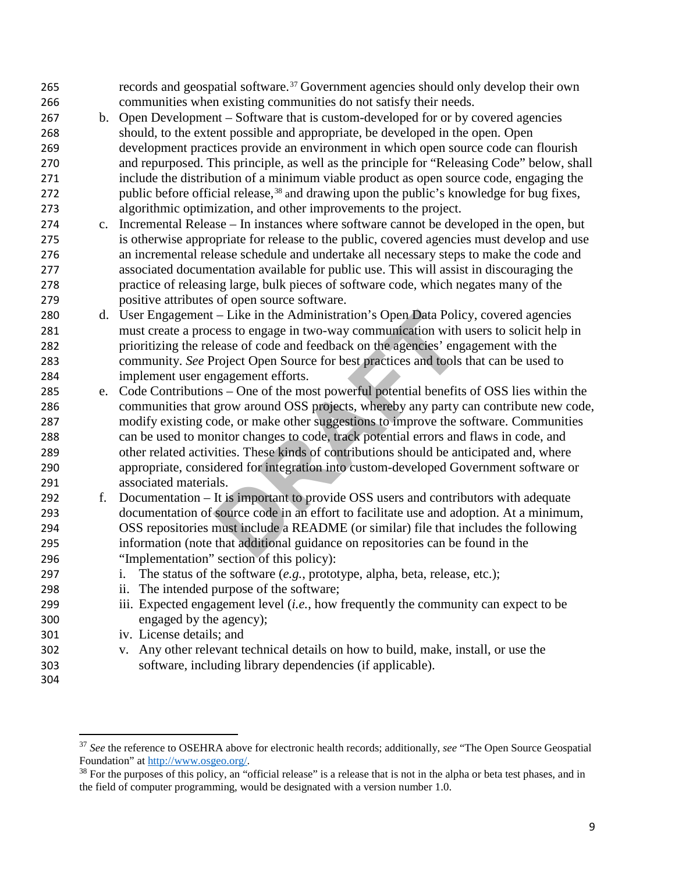265 records and geospatial software.<sup> $37$ </sup> Government agencies should only develop their own communities when existing communities do not satisfy their needs.

- b. Open Development Software that is custom-developed for or by covered agencies should, to the extent possible and appropriate, be developed in the open. Open development practices provide an environment in which open source code can flourish and repurposed. This principle, as well as the principle for "Releasing Code" below, shall include the distribution of a minimum viable product as open source code, engaging the 272 public before official release, and drawing upon the public's knowledge for bug fixes, algorithmic optimization, and other improvements to the project.
- c. Incremental Release In instances where software cannot be developed in the open, but is otherwise appropriate for release to the public, covered agencies must develop and use an incremental release schedule and undertake all necessary steps to make the code and associated documentation available for public use. This will assist in discouraging the practice of releasing large, bulk pieces of software code, which negates many of the positive attributes of open source software.
- d. User Engagement Like in the Administration's Open Data Policy, covered agencies must create a process to engage in two-way communication with users to solicit help in prioritizing the release of code and feedback on the agencies' engagement with the community. *See* Project Open Source for best practices and tools that can be used to implement user engagement efforts.
- Like in the Administration's Open Data Policy,<br>cess to engage in two-way communication with use<br>lease of code and feedback on the agencies' engage<br>Project Open Source for best practices and tools tha<br>gagement efforts.<br>ns e. Code Contributions – One of the most powerful potential benefits of OSS lies within the communities that grow around OSS projects, whereby any party can contribute new code, modify existing code, or make other suggestions to improve the software. Communities can be used to monitor changes to code, track potential errors and flaws in code, and other related activities. These kinds of contributions should be anticipated and, where appropriate, considered for integration into custom-developed Government software or associated materials.
- f. Documentation It is important to provide OSS users and contributors with adequate documentation of source code in an effort to facilitate use and adoption. At a minimum, OSS repositories must include a README (or similar) file that includes the following information (note that additional guidance on repositories can be found in the "Implementation" section of this policy):
- i. The status of the software (*e.g.*, prototype, alpha, beta, release, etc.);
- ii. The intended purpose of the software;
- iii. Expected engagement level (*i.e.*, how frequently the community can expect to be engaged by the agency);
- iv. License details; and
- v. Any other relevant technical details on how to build, make, install, or use the software, including library dependencies (if applicable).
- <span id="page-8-0"></span>

 *See* the reference to OSEHRA above for electronic health records; additionally, *see* "The Open Source Geospatial Foundation" at [http://www.osgeo.org/.](http://www.osgeo.org/)

<span id="page-8-1"></span><sup>&</sup>lt;sup>38</sup> For the purposes of this policy, an "official release" is a release that is not in the alpha or beta test phases, and in the field of computer programming, would be designated with a version number 1.0.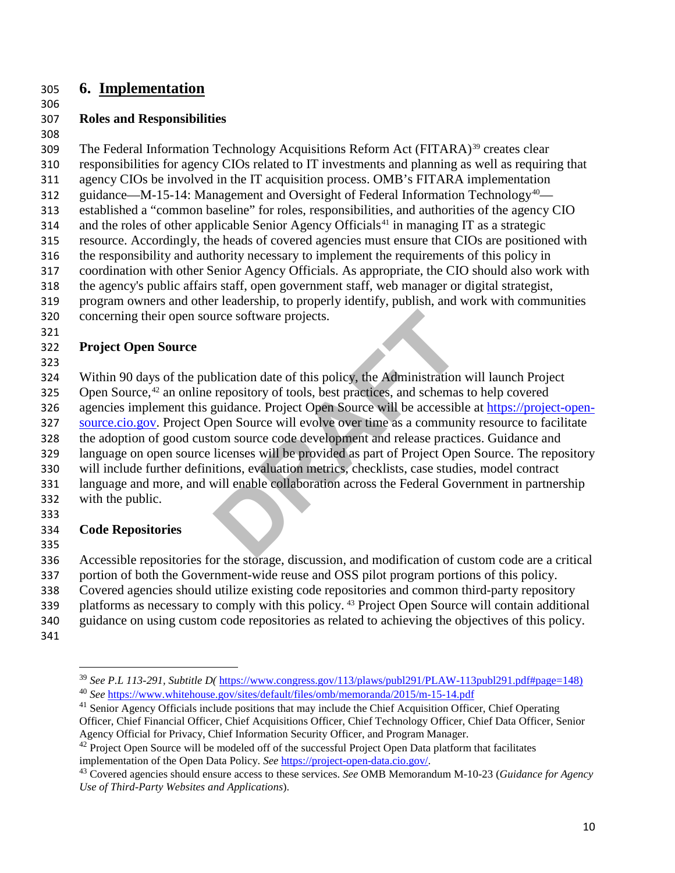#### **6. Implementation**

#### 

#### **Roles and Responsibilities**

309 The Federal Information Technology Acquisitions Reform Act (FITARA)<sup>[39](#page-9-0)</sup> creates clear responsibilities for agency CIOs related to IT investments and planning as well as requiring that agency CIOs be involved in the IT acquisition process. OMB's FITARA implementation 312 guidance—M-15-14: Management and Oversight of Federal Information Technology<sup>40</sup>— established a "common baseline" for roles, responsibilities, and authorities of the agency CIO 314 and the roles of other applicable Senior Agency Officials<sup>[41](#page-9-2)</sup> in managing IT as a strategic resource. Accordingly, the heads of covered agencies must ensure that CIOs are positioned with the responsibility and authority necessary to implement the requirements of this policy in coordination with other Senior Agency Officials. As appropriate, the CIO should also work with the agency's public affairs staff, open government staff, web manager or digital strategist, program owners and other leadership, to properly identify, publish, and work with communities concerning their open source software projects.

#### **Project Open Source**

Within 90 days of the publication date of this policy, the Administration will launch Project

325 Open Source, an online repository of tools, best practices, and schemas to help covered

agencies implement this guidance. Project Open Source will be accessible at [https://project-open-](https://project-open-source.cio.gov/)

France software projects.<br>
Dication date of this policy, the Administration will<br>
repository of tools, best practices, and schemas to<br>
guidance. Project Open Source will be accessible a<br>
pen Source will evolve over time as [source.cio.gov.](https://project-open-source.cio.gov/) Project Open Source will evolve over time as a community resource to facilitate

the adoption of good custom source code development and release practices. Guidance and

language on open source licenses will be provided as part of Project Open Source. The repository

- will include further definitions, evaluation metrics, checklists, case studies, model contract
- language and more, and will enable collaboration across the Federal Government in partnership
- with the public.
- 

#### **Code Repositories**

Accessible repositories for the storage, discussion, and modification of custom code are a critical

portion of both the Government-wide reuse and OSS pilot program portions of this policy.

Covered agencies should utilize existing code repositories and common third-party repository

339 platforms as necessary to comply with this policy.<sup>[43](#page-9-4)</sup> Project Open Source will contain additional

guidance on using custom code repositories as related to achieving the objectives of this policy.

<span id="page-9-1"></span><span id="page-9-0"></span>

 *See P.L 113-291, Subtitle D(* [https://www.congress.gov/113/plaws/publ291/PLAW-113publ291.pdf#page=148\)](https://www.congress.gov/113/plaws/publ291/PLAW-113publ291.pdf#page=148) *See* <https://www.whitehouse.gov/sites/default/files/omb/memoranda/2015/m-15-14.pdf>

<span id="page-9-2"></span><sup>&</sup>lt;sup>41</sup> Senior Agency Officials include positions that may include the Chief Acquisition Officer, Chief Operating Officer, Chief Financial Officer, Chief Acquisitions Officer, Chief Technology Officer, Chief Data Officer, Senior Agency Official for Privacy, Chief Information Security Officer, and Program Manager.

<span id="page-9-3"></span> Project Open Source will be modeled off of the successful Project Open Data platform that facilitates implementation of the Open Data Policy. *See* [https://project-open-data.cio.gov/.](https://project-open-data.cio.gov/)

<span id="page-9-4"></span> Covered agencies should ensure access to these services. *See* OMB Memorandum M-10-23 (*Guidance for Agency Use of Third-Party Websites and Applications*).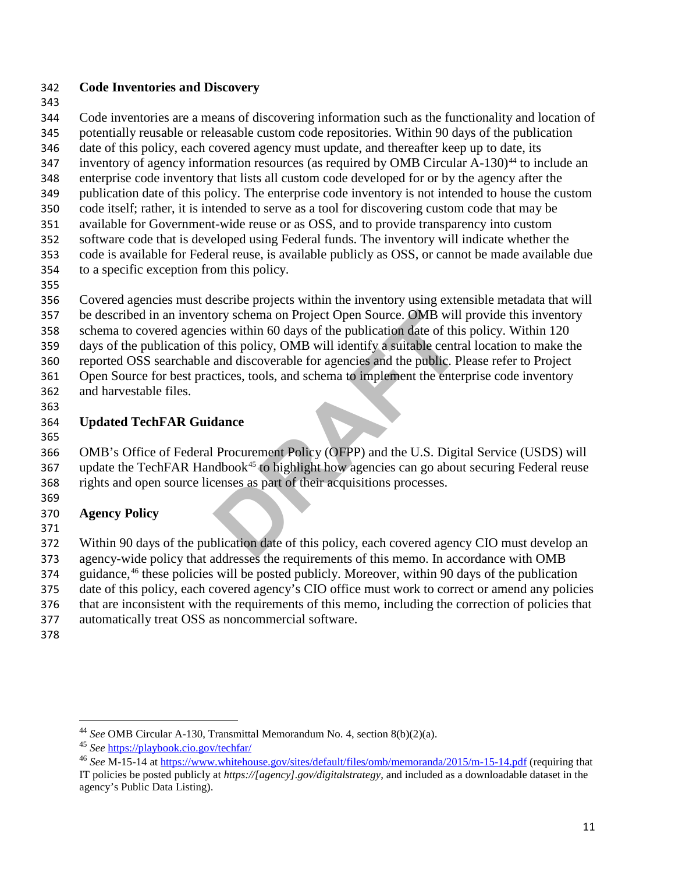#### **Code Inventories and Discovery**

Code inventories are a means of discovering information such as the functionality and location of

potentially reusable or releasable custom code repositories. Within 90 days of the publication

date of this policy, each covered agency must update, and thereafter keep up to date, its

347 inventory of agency information resources (as required by OMB Circular A-130)<sup>[44](#page-10-0)</sup> to include an

- enterprise code inventory that lists all custom code developed for or by the agency after the
- publication date of this policy. The enterprise code inventory is not intended to house the custom code itself; rather, it is intended to serve as a tool for discovering custom code that may be
- available for Government-wide reuse or as OSS, and to provide transparency into custom
- software code that is developed using Federal funds. The inventory will indicate whether the
- code is available for Federal reuse, is available publicly as OSS, or cannot be made available due to a specific exception from this policy.
- 

Covered agencies must describe projects within the inventory using extensible metadata that will

 be described in an inventory schema on Project Open Source. OMB will provide this inventory schema to covered agencies within 60 days of the publication date of this policy. Within 120

days of the publication of this policy, OMB will identify a suitable central location to make the

reported OSS searchable and discoverable for agencies and the public. Please refer to Project

- Open Source for best practices, tools, and schema to implement the enterprise code inventory and harvestable files.
- 

## **Updated TechFAR Guidance**

ory schema on Project Open Source. OMB will provide it is policy, OMB will identify a suitable central lead discoverable for agencies and the public. Plead and discoverable for agencies and the public. Plead extices, tools OMB's Office of Federal Procurement Policy (OFPP) and the U.S. Digital Service (USDS) will 367 update the TechFAR Handbook<sup>45</sup> to highlight how agencies can go about securing Federal reuse rights and open source licenses as part of their acquisitions processes.

## **Agency Policy**

Within 90 days of the publication date of this policy, each covered agency CIO must develop an

agency-wide policy that addresses the requirements of this memo. In accordance with OMB

374 guidance,<sup>[46](#page-10-2)</sup> these policies will be posted publicly. Moreover, within 90 days of the publication

date of this policy, each covered agency's CIO office must work to correct or amend any policies

that are inconsistent with the requirements of this memo, including the correction of policies that

automatically treat OSS as noncommercial software.

<span id="page-10-0"></span>*See* OMB Circular A-130, Transmittal Memorandum No. 4, section 8(b)(2)(a).

<span id="page-10-1"></span>*See* <https://playbook.cio.gov/techfar/>

<span id="page-10-2"></span> *See* M-15-14 a[t https://www.whitehouse.gov/sites/default/files/omb/memoranda/2015/m-15-14.pdf](https://www.whitehouse.gov/sites/default/files/omb/memoranda/2015/m-15-14.pdf) (requiring that IT policies be posted publicly at *https://[agency].gov/digitalstrategy*, and included as a downloadable dataset in the agency's Public Data Listing).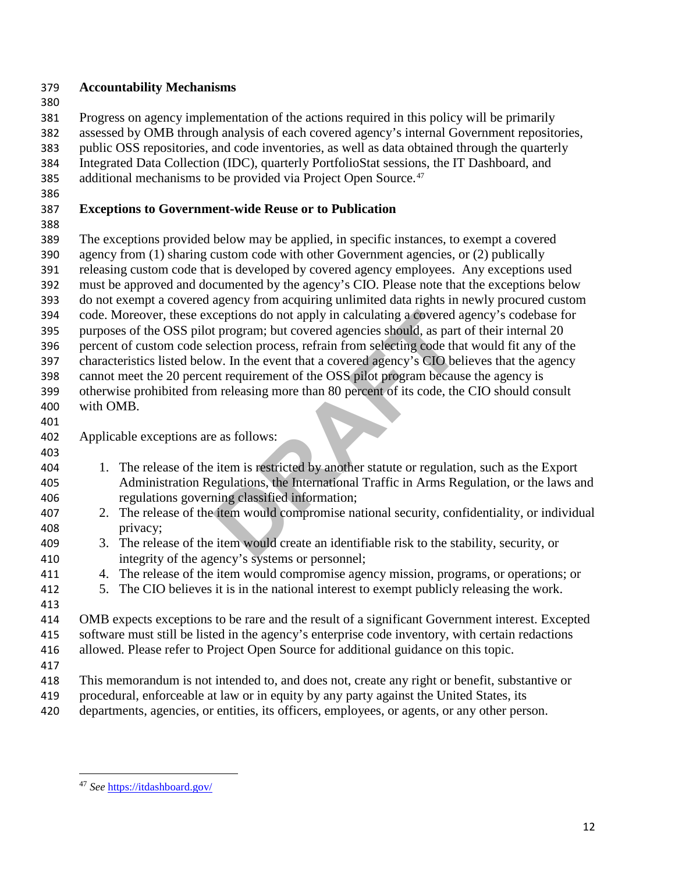#### **Accountability Mechanisms**

Progress on agency implementation of the actions required in this policy will be primarily

assessed by OMB through analysis of each covered agency's internal Government repositories,

public OSS repositories, and code inventories, as well as data obtained through the quarterly

Integrated Data Collection (IDC), quarterly PortfolioStat sessions, the IT Dashboard, and

- 385 additional mechanisms to be provided via Project Open Source.<sup>[47](#page-11-0)</sup>
- 

# **Exceptions to Government-wide Reuse or to Publication**

The exceptions provided below may be applied, in specific instances, to exempt a covered

agency from (1) sharing custom code with other Government agencies, or (2) publically

- releasing custom code that is developed by covered agency employees. Any exceptions used
- must be approved and documented by the agency's CIO. Please note that the exceptions below do not exempt a covered agency from acquiring unlimited data rights in newly procured custom
- code. Moreover, these exceptions do not apply in calculating a covered agency's codebase for
- purposes of the OSS pilot program; but covered agencies should, as part of their internal 20
- percent of custom code selection process, refrain from selecting code that would fit any of the

characteristics listed below. In the event that a covered agency's CIO believes that the agency

- cannot meet the 20 percent requirement of the OSS pilot program because the agency is
- otherwise prohibited from releasing more than 80 percent of its code, the CIO should consult with OMB.
- 

- Applicable exceptions are as follows:
- ceptions do not apply in calculating a covered agent program; but covered agencies should, as part of election process, refrain from selecting code that w. In the event that a covered agency's CIO believent requirement of 404 1. The release of the item is restricted by another statute or regulation, such as the Export Administration Regulations, the International Traffic in Arms Regulation, or the laws and regulations governing classified information;
- 2. The release of the item would compromise national security, confidentiality, or individual privacy;
- 3. The release of the item would create an identifiable risk to the stability, security, or integrity of the agency's systems or personnel;
- 4. The release of the item would compromise agency mission, programs, or operations; or
- 5. The CIO believes it is in the national interest to exempt publicly releasing the work.
- 

 OMB expects exceptions to be rare and the result of a significant Government interest. Excepted software must still be listed in the agency's enterprise code inventory, with certain redactions

- allowed. Please refer to Project Open Source for additional guidance on this topic.
- 

- This memorandum is not intended to, and does not, create any right or benefit, substantive or
- procedural, enforceable at law or in equity by any party against the United States, its
- departments, agencies, or entities, its officers, employees, or agents, or any other person.

<span id="page-11-0"></span>*See* <https://itdashboard.gov/>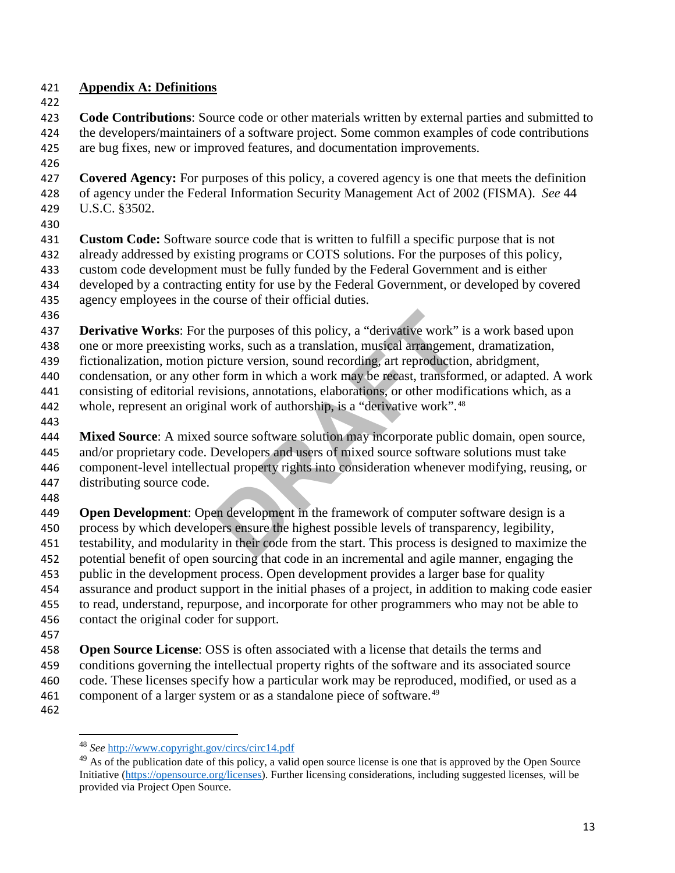#### **Appendix A: Definitions**

 **Code Contributions**: Source code or other materials written by external parties and submitted to the developers/maintainers of a software project. Some common examples of code contributions are bug fixes, new or improved features, and documentation improvements.

 **Covered Agency:** For purposes of this policy, a covered agency is one that meets the definition of agency under the Federal Information Security Management Act of 2002 (FISMA). *See* 44 U.S.C. §3502.

 **Custom Code:** Software source code that is written to fulfill a specific purpose that is not already addressed by existing programs or COTS solutions. For the purposes of this policy, custom code development must be fully funded by the Federal Government and is either developed by a contracting entity for use by the Federal Government, or developed by covered

agency employees in the course of their official duties.

**Derivative Works**: For the purposes of this policy, a "derivative work" is a work based upon

- one or more preexisting works, such as a translation, musical arrangement, dramatization,
- fictionalization, motion picture version, sound recording, art reproduction, abridgment,
- condensation, or any other form in which a work may be recast, transformed, or adapted. A work
- consisting of editorial revisions, annotations, elaborations, or other modifications which, as a 442 whole, represent an original work of authorship, is a "derivative work".<sup>[48](#page-12-0)</sup>
- 

the purposes of this policy, a "derivative work" is a<br>works, such as a translation, musical arrangement,<br>icture version, sound recording, art reproduction, a<br>er form in which a work may be recast, transformed<br>visions, anno **Mixed Source**: A mixed source software solution may incorporate public domain, open source, and/or proprietary code. Developers and users of mixed source software solutions must take component-level intellectual property rights into consideration whenever modifying, reusing, or distributing source code.

 **Open Development**: Open development in the framework of computer software design is a process by which developers ensure the highest possible levels of transparency, legibility, testability, and modularity in their code from the start. This process is designed to maximize the potential benefit of open sourcing that code in an incremental and agile manner, engaging the public in the development process. Open development provides a larger base for quality assurance and product support in the initial phases of a project, in addition to making code easier to read, understand, repurpose, and incorporate for other programmers who may not be able to contact the original coder for support.

 $\overline{a}$ 

 **Open Source License**: OSS is often associated with a license that details the terms and conditions governing the intellectual property rights of the software and its associated source code. These licenses specify how a particular work may be reproduced, modified, or used as a 461 component of a larger system or as a standalone piece of software.<sup>[49](#page-12-1)</sup> 

<span id="page-12-0"></span>*See* <http://www.copyright.gov/circs/circ14.pdf>

<span id="page-12-1"></span><sup>&</sup>lt;sup>49</sup> As of the publication date of this policy, a valid open source license is one that is approved by the Open Source Initiative [\(https://opensource.org/licenses\)](https://opensource.org/licenses). Further licensing considerations, including suggested licenses, will be provided via Project Open Source.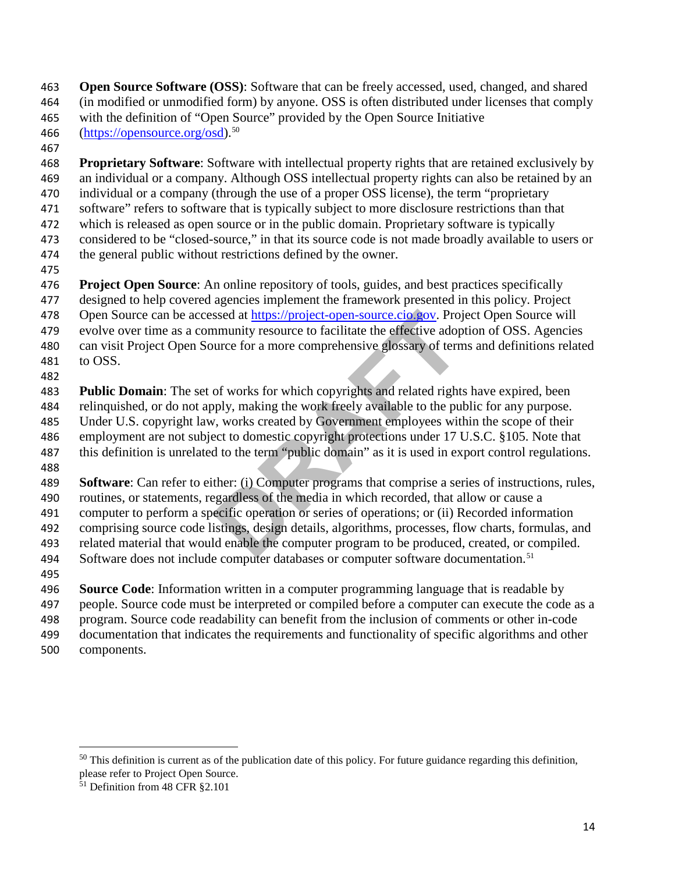**Open Source Software (OSS)**: Software that can be freely accessed, used, changed, and shared (in modified or unmodified form) by anyone. OSS is often distributed under licenses that comply

- with the definition of "Open Source" provided by the Open Source Initiative
- [\(https://opensource.org/osd\)](https://opensource.org/osd).[50](#page-13-0)
- 

 **Proprietary Software**: Software with intellectual property rights that are retained exclusively by an individual or a company. Although OSS intellectual property rights can also be retained by an individual or a company (through the use of a proper OSS license), the term "proprietary software" refers to software that is typically subject to more disclosure restrictions than that which is released as open source or in the public domain. Proprietary software is typically considered to be "closed-source," in that its source code is not made broadly available to users or

- the general public without restrictions defined by the owner.
- 

**Project Open Source**: An online repository of tools, guides, and best practices specifically

designed to help covered agencies implement the framework presented in this policy. Project

- Open Source can be accessed at https://project-open-source.cio.gov. Project Open Source will
- evolve over time as a community resource to facilitate the effective adoption of OSS. Agencies
- can visit Project Open Source for a more comprehensive glossary of terms and definitions related to OSS.
- 

ssed at **https://project-open-source.cio.gov**. Project<br>nmunity resource to facilitate the effective adoptio<br>urce for a more comprehensive glossary of terms a<br>of works for which copyrights and related rights ha<br>ply, making **Public Domain**: The set of works for which copyrights and related rights have expired, been relinquished, or do not apply, making the work freely available to the public for any purpose.

Under U.S. copyright law, works created by Government employees within the scope of their

- employment are not subject to domestic copyright protections under 17 U.S.C. §105. Note that this definition is unrelated to the term "public domain" as it is used in export control regulations.
- 

**Software**: Can refer to either: (i) Computer programs that comprise a series of instructions, rules,

routines, or statements, regardless of the media in which recorded, that allow or cause a

computer to perform a specific operation or series of operations; or (ii) Recorded information

comprising source code listings, design details, algorithms, processes, flow charts, formulas, and

- related material that would enable the computer program to be produced, created, or compiled.
- 494 Software does not include computer databases or computer software documentation.<sup>[51](#page-13-1)</sup>
- 

**Source Code**: Information written in a computer programming language that is readable by

people. Source code must be interpreted or compiled before a computer can execute the code as a

program. Source code readability can benefit from the inclusion of comments or other in-code

documentation that indicates the requirements and functionality of specific algorithms and other

components.

<span id="page-13-0"></span> This definition is current as of the publication date of this policy. For future guidance regarding this definition, please refer to Project Open Source.

<span id="page-13-1"></span>Definition from 48 CFR §2.101